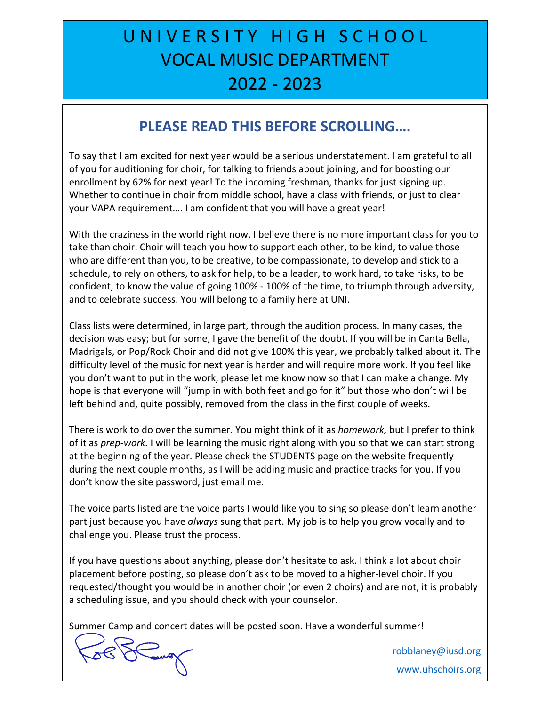### U N I V E R S I T Y H I G H S C H O O L VOCAL MUSIC DEPARTMENT 2022 - 2023

### **PLEASE READ THIS BEFORE SCROLLING….**

To say that I am excited for next year would be a serious understatement. I am grateful to all of you for auditioning for choir, for talking to friends about joining, and for boosting our enrollment by 62% for next year! To the incoming freshman, thanks for just signing up. Whether to continue in choir from middle school, have a class with friends, or just to clear your VAPA requirement…. I am confident that you will have a great year!

With the craziness in the world right now, I believe there is no more important class for you to take than choir. Choir will teach you how to support each other, to be kind, to value those who are different than you, to be creative, to be compassionate, to develop and stick to a schedule, to rely on others, to ask for help, to be a leader, to work hard, to take risks, to be confident, to know the value of going 100% - 100% of the time, to triumph through adversity, and to celebrate success. You will belong to a family here at UNI.

Class lists were determined, in large part, through the audition process. In many cases, the decision was easy; but for some, I gave the benefit of the doubt. If you will be in Canta Bella, Madrigals, or Pop/Rock Choir and did not give 100% this year, we probably talked about it. The difficulty level of the music for next year is harder and will require more work. If you feel like you don't want to put in the work, please let me know now so that I can make a change. My hope is that everyone will "jump in with both feet and go for it" but those who don't will be left behind and, quite possibly, removed from the class in the first couple of weeks.

There is work to do over the summer. You might think of it as *homework,* but I prefer to think of it as *prep-work.* I will be learning the music right along with you so that we can start strong at the beginning of the year. Please check the STUDENTS page on the website frequently during the next couple months, as I will be adding music and practice tracks for you. If you don't know the site password, just email me.

The voice parts listed are the voice parts I would like you to sing so please don't learn another part just because you have *always* sung that part. My job is to help you grow vocally and to challenge you. Please trust the process.

If you have questions about anything, please don't hesitate to ask. I think a lot about choir placement before posting, so please don't ask to be moved to a higher-level choir. If you requested/thought you would be in another choir (or even 2 choirs) and are not, it is probably a scheduling issue, and you should check with your counselor.

Summer Camp and concert dates will be posted soon. Have a wonderful summer!

 $588$  and  $50$ 

robblaney@iusd.org www.uhschoirs.org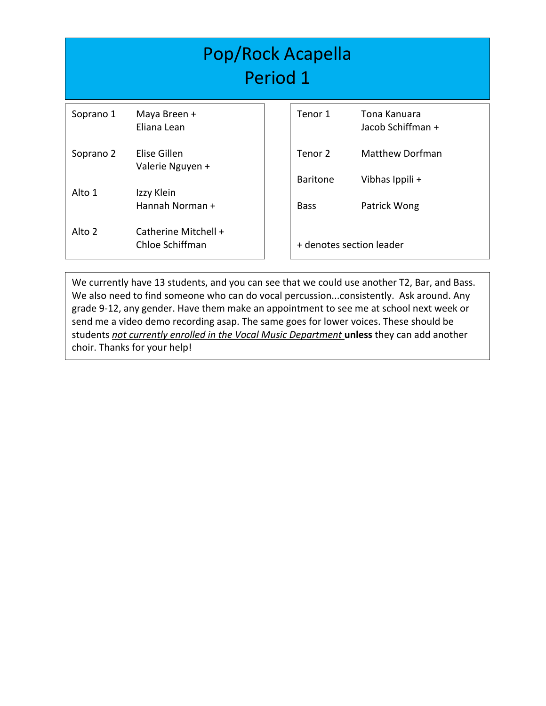| Pop/Rock Acapella<br>Period 1 |                                         |  |                            |                                           |  |  |  |
|-------------------------------|-----------------------------------------|--|----------------------------|-------------------------------------------|--|--|--|
| Soprano 1                     | Maya Breen +<br>Eliana Lean             |  | Tenor 1                    | Tona Kanuara<br>Jacob Schiffman +         |  |  |  |
| Soprano 2                     | Elise Gillen<br>Valerie Nguyen +        |  | Tenor 2<br><b>Baritone</b> | <b>Matthew Dorfman</b><br>Vibhas Ippili + |  |  |  |
| Alto 1                        | Izzy Klein<br>Hannah Norman +           |  | <b>Bass</b>                | Patrick Wong                              |  |  |  |
| Alto 2                        | Catherine Mitchell +<br>Chloe Schiffman |  |                            | + denotes section leader                  |  |  |  |

We currently have 13 students, and you can see that we could use another T2, Bar, and Bass. We also need to find someone who can do vocal percussion...consistently. Ask around. Any grade 9-12, any gender. Have them make an appointment to see me at school next week or send me a video demo recording asap. The same goes for lower voices. These should be students *not currently enrolled in the Vocal Music Department* **unless** they can add another choir. Thanks for your help!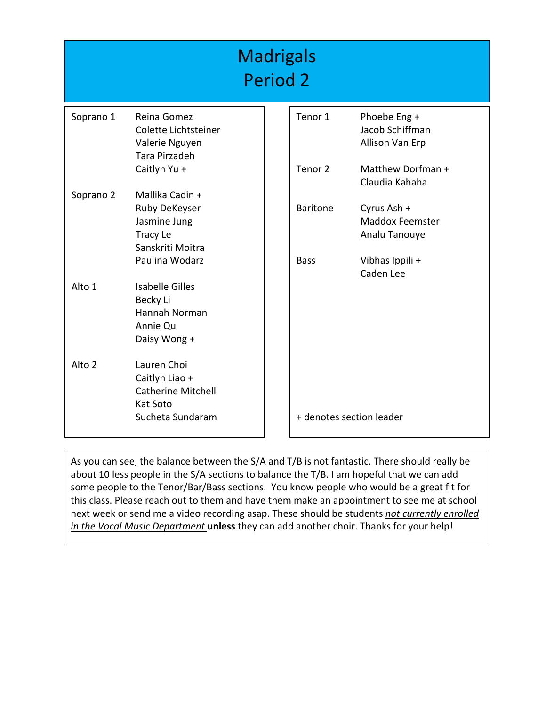#### **Madrigals** Period 2 Soprano 1 Reina Gomez Colette Lichtsteiner Valerie Nguyen Tara Pirzadeh Caitlyn Yu + Soprano 2 Mallika Cadin + Ruby DeKeyser Jasmine Jung Tracy Le Sanskriti Moitra Paulina Wodarz Alto 1 Isabelle Gilles Becky Li Hannah Norman Annie Qu Daisy Wong + Alto 2 Lauren Choi Caitlyn Liao + Catherine Mitchell Kat Soto Sucheta Sundaram Tenor 1 Phoebe Eng + Jacob Schiffman Allison Van Erp Tenor 2 Matthew Dorfman + Claudia Kahaha Baritone Cyrus Ash + Maddox Feemster Analu Tanouye Bass Vibhas Ippili + Caden Lee + denotes section leader

As you can see, the balance between the S/A and T/B is not fantastic. There should really be about 10 less people in the S/A sections to balance the T/B. I am hopeful that we can add some people to the Tenor/Bar/Bass sections. You know people who would be a great fit for this class. Please reach out to them and have them make an appointment to see me at school next week or send me a video recording asap. These should be students *not currently enrolled in the Vocal Music Department* **unless** they can add another choir. Thanks for your help!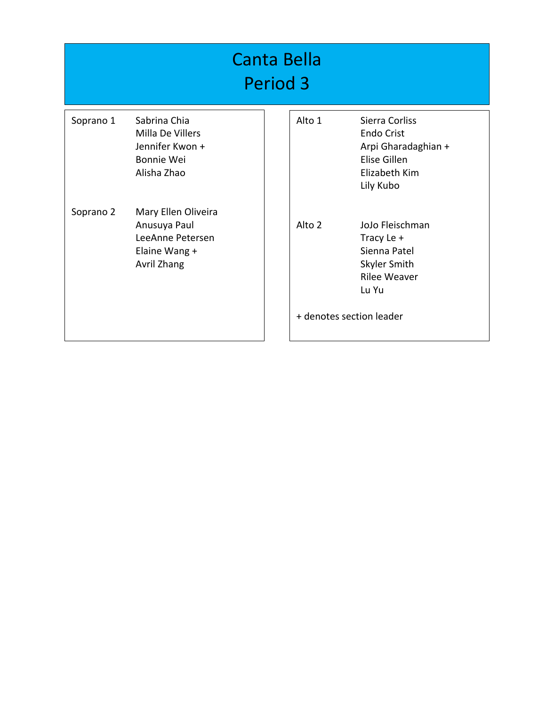| <b>Canta Bella</b><br>Period <sub>3</sub> |                                                                                         |  |        |                                                                                                                           |  |  |  |
|-------------------------------------------|-----------------------------------------------------------------------------------------|--|--------|---------------------------------------------------------------------------------------------------------------------------|--|--|--|
| Soprano 1                                 | Sabrina Chia<br>Milla De Villers<br>Jennifer Kwon +<br>Bonnie Wei<br>Alisha Zhao        |  | Alto 1 | Sierra Corliss<br><b>Endo Crist</b><br>Arpi Gharadaghian +<br>Elise Gillen<br>Elizabeth Kim<br>Lily Kubo                  |  |  |  |
| Soprano 2                                 | Mary Ellen Oliveira<br>Anusuya Paul<br>LeeAnne Petersen<br>Elaine Wang +<br>Avril Zhang |  | Alto 2 | JoJo Fleischman<br>Tracy Le +<br>Sienna Patel<br>Skyler Smith<br><b>Rilee Weaver</b><br>Lu Yu<br>+ denotes section leader |  |  |  |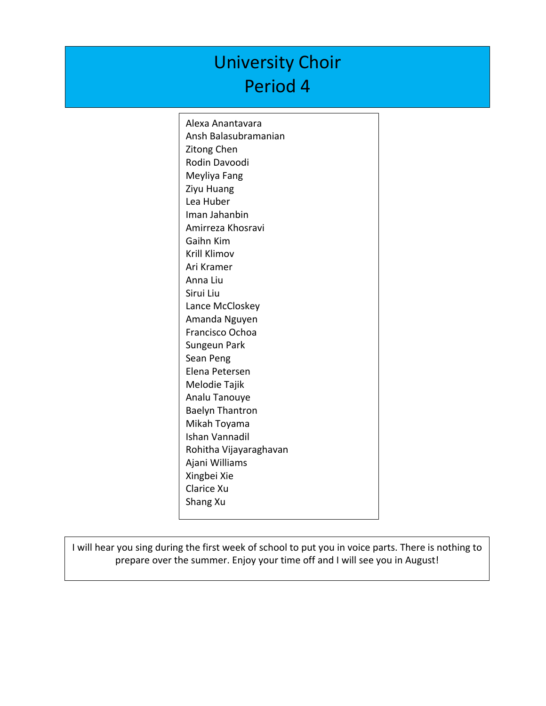## University Choir Period 4

Alexa Anantavara Ansh Balasubramanian Zitong Chen Rodin Davoodi Meyliya Fang Ziyu Huang Lea Huber Iman Jahanbin Amirreza Khosravi Gaihn Kim Krill Klimov Ari Kramer Anna Liu Sirui Liu Lance McCloskey Amanda Nguyen Francisco Ochoa Sungeun Park Sean Peng Elena Petersen Melodie Tajik Analu Tanouye Baelyn Thantron Mikah Toyama Ishan Vannadil Rohitha Vijayaraghavan Ajani Williams Xingbei Xie Clarice Xu Shang Xu

I will hear you sing during the first week of school to put you in voice parts. There is nothing to prepare over the summer. Enjoy your time off and I will see you in August!